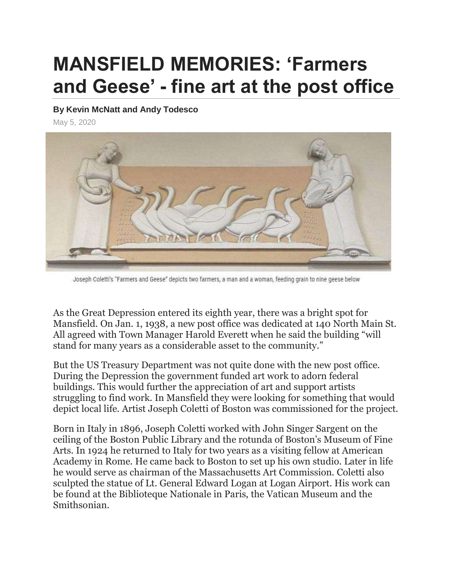## **MANSFIELD MEMORIES: 'Farmers and Geese' - fine art at the post office**

## **By Kevin McNatt and Andy Todesco**

May 5, 2020



Joseph Coletti's "Farmers and Geese" depicts two farmers, a man and a woman, feeding grain to nine geese below

As the Great Depression entered its eighth year, there was a bright spot for Mansfield. On Jan. 1, 1938, a new post office was dedicated at 140 North Main St. All agreed with Town Manager Harold Everett when he said the building "will stand for many years as a considerable asset to the community."

But the US Treasury Department was not quite done with the new post office. During the Depression the government funded art work to adorn federal buildings. This would further the appreciation of art and support artists struggling to find work. In Mansfield they were looking for something that would depict local life. Artist Joseph Coletti of Boston was commissioned for the project.

Born in Italy in 1896, Joseph Coletti worked with John Singer Sargent on the ceiling of the Boston Public Library and the rotunda of Boston's Museum of Fine Arts. In 1924 he returned to Italy for two years as a visiting fellow at American Academy in Rome. He came back to Boston to set up his own studio. Later in life he would serve as chairman of the Massachusetts Art Commission. Coletti also sculpted the statue of Lt. General Edward Logan at Logan Airport. His work can be found at the Biblioteque Nationale in Paris, the Vatican Museum and the Smithsonian.